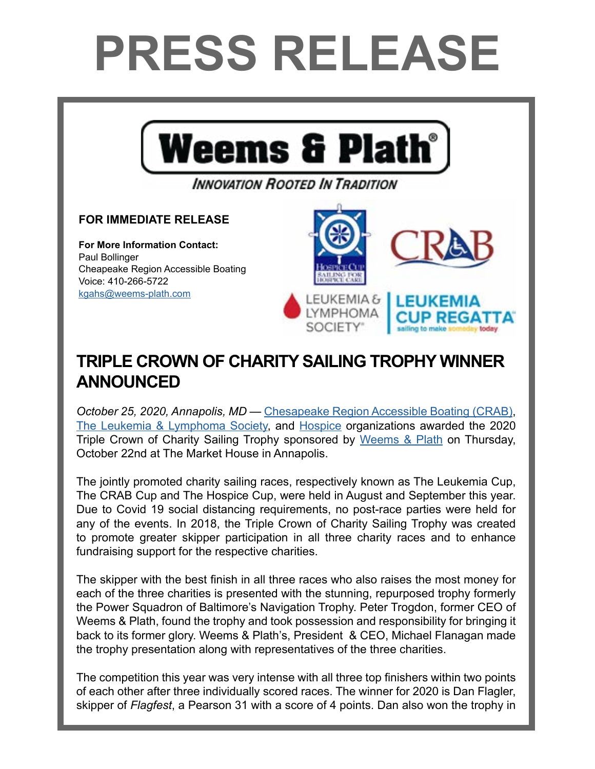## **PRESS RELEASE**



## **TRIPLE CROWN OF CHARITY SAILING TROPHY WINNER ANNOUNCED**

*October 25, 2020, Annapolis, MD* — [Chesapeake Region Accessible Boating \(CRAB\),](https://crabsailing.org/) [The Leukemia & Lymphoma Society](https://www.lls.org/), and [Hospice](https://hospicecup.org/) organizations awarded the 2020 Triple Crown of Charity Sailing Trophy sponsored by [Weems & Plath](http://www.weems-plath.com/) on Thursday, October 22nd at The Market House in Annapolis.

The jointly promoted charity sailing races, respectively known as The Leukemia Cup, The CRAB Cup and The Hospice Cup, were held in August and September this year. Due to Covid 19 social distancing requirements, no post-race parties were held for any of the events. In 2018, the Triple Crown of Charity Sailing Trophy was created to promote greater skipper participation in all three charity races and to enhance fundraising support for the respective charities.

The skipper with the best finish in all three races who also raises the most money for each of the three charities is presented with the stunning, repurposed trophy formerly the Power Squadron of Baltimore's Navigation Trophy. Peter Trogdon, former CEO of Weems & Plath, found the trophy and took possession and responsibility for bringing it back to its former glory. Weems & Plath's, President & CEO, Michael Flanagan made the trophy presentation along with representatives of the three charities.

The competition this year was very intense with all three top finishers within two points of each other after three individually scored races. The winner for 2020 is Dan Flagler, skipper of *Flagfest*, a Pearson 31 with a score of 4 points. Dan also won the trophy in